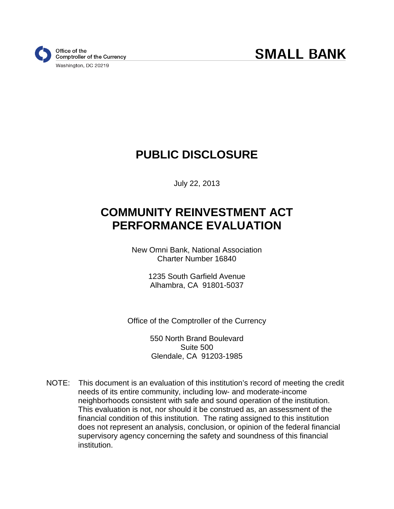

# **PUBLIC DISCLOSURE**

July 22, 2013

# **COMMUNITY REINVESTMENT ACT PERFORMANCE EVALUATION**

New Omni Bank, National Association Charter Number 16840

> 1235 South Garfield Avenue Alhambra, CA 91801-5037

Office of the Comptroller of the Currency

550 North Brand Boulevard Suite 500 Glendale, CA 91203-1985

NOTE: This document is an evaluation of this institution's record of meeting the credit needs of its entire community, including low- and moderate-income neighborhoods consistent with safe and sound operation of the institution. This evaluation is not, nor should it be construed as, an assessment of the financial condition of this institution. The rating assigned to this institution does not represent an analysis, conclusion, or opinion of the federal financial supervisory agency concerning the safety and soundness of this financial institution.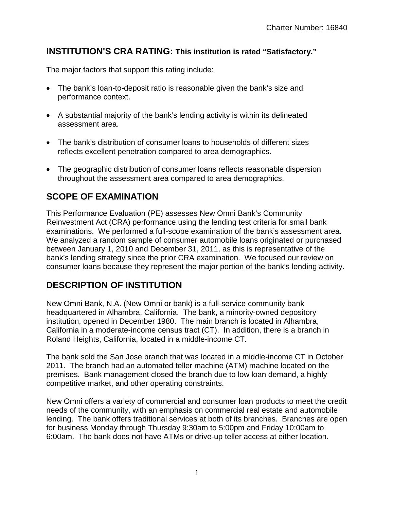## **INSTITUTION'S CRA RATING: This institution is rated "Satisfactory."**

The major factors that support this rating include:

- The bank's loan-to-deposit ratio is reasonable given the bank's size and performance context.
- A substantial majority of the bank's lending activity is within its delineated assessment area.
- The bank's distribution of consumer loans to households of different sizes reflects excellent penetration compared to area demographics.
- The geographic distribution of consumer loans reflects reasonable dispersion throughout the assessment area compared to area demographics.

## **SCOPE OF EXAMINATION**

This Performance Evaluation (PE) assesses New Omni Bank's Community Reinvestment Act (CRA) performance using the lending test criteria for small bank examinations. We performed a full-scope examination of the bank's assessment area. We analyzed a random sample of consumer automobile loans originated or purchased between January 1, 2010 and December 31, 2011, as this is representative of the bank's lending strategy since the prior CRA examination. We focused our review on consumer loans because they represent the major portion of the bank's lending activity.

## **DESCRIPTION OF INSTITUTION**

New Omni Bank, N.A. (New Omni or bank) is a full-service community bank headquartered in Alhambra, California. The bank, a minority-owned depository institution, opened in December 1980. The main branch is located in Alhambra, California in a moderate-income census tract (CT). In addition, there is a branch in Roland Heights, California, located in a middle-income CT.

The bank sold the San Jose branch that was located in a middle-income CT in October 2011. The branch had an automated teller machine (ATM) machine located on the premises. Bank management closed the branch due to low loan demand, a highly competitive market, and other operating constraints.

New Omni offers a variety of commercial and consumer loan products to meet the credit needs of the community, with an emphasis on commercial real estate and automobile lending. The bank offers traditional services at both of its branches. Branches are open for business Monday through Thursday 9:30am to 5:00pm and Friday 10:00am to 6:00am. The bank does not have ATMs or drive-up teller access at either location.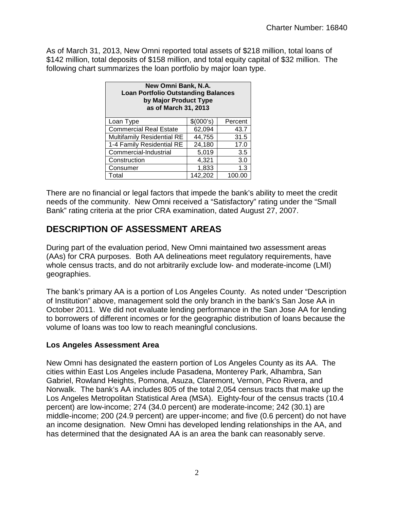As of March 31, 2013, New Omni reported total assets of \$218 million, total loans of \$142 million, total deposits of \$158 million, and total equity capital of \$32 million. The following chart summarizes the loan portfolio by major loan type.

| New Omni Bank, N.A.<br><b>Loan Portfolio Outstanding Balances</b><br>by Major Product Type<br>as of March 31, 2013 |         |        |  |  |  |  |  |
|--------------------------------------------------------------------------------------------------------------------|---------|--------|--|--|--|--|--|
| \$(000's)<br>Loan Type<br>Percent                                                                                  |         |        |  |  |  |  |  |
| <b>Commercial Real Estate</b>                                                                                      | 62,094  | 43.7   |  |  |  |  |  |
| <b>Multifamily Residential RE</b>                                                                                  | 44,755  | 31.5   |  |  |  |  |  |
| 1-4 Family Residential RE                                                                                          | 24,180  | 17.0   |  |  |  |  |  |
| Commercial-Industrial                                                                                              | 5,019   | 3.5    |  |  |  |  |  |
| Construction                                                                                                       | 4,321   | 3.0    |  |  |  |  |  |
| Consumer                                                                                                           | 1,833   | 1.3    |  |  |  |  |  |
| Total                                                                                                              | 142,202 | 100.00 |  |  |  |  |  |

There are no financial or legal factors that impede the bank's ability to meet the credit needs of the community. New Omni received a "Satisfactory" rating under the "Small Bank" rating criteria at the prior CRA examination, dated August 27, 2007.

## **DESCRIPTION OF ASSESSMENT AREAS**

During part of the evaluation period, New Omni maintained two assessment areas (AAs) for CRA purposes. Both AA delineations meet regulatory requirements, have whole census tracts, and do not arbitrarily exclude low- and moderate-income (LMI) geographies.

The bank's primary AA is a portion of Los Angeles County. As noted under "Description of Institution" above, management sold the only branch in the bank's San Jose AA in October 2011. We did not evaluate lending performance in the San Jose AA for lending to borrowers of different incomes or for the geographic distribution of loans because the volume of loans was too low to reach meaningful conclusions.

### **Los Angeles Assessment Area**

New Omni has designated the eastern portion of Los Angeles County as its AA. The cities within East Los Angeles include Pasadena, Monterey Park, Alhambra, San Gabriel, Rowland Heights, Pomona, Asuza, Claremont, Vernon, Pico Rivera, and Norwalk. The bank's AA includes 805 of the total 2,054 census tracts that make up the Los Angeles Metropolitan Statistical Area (MSA). Eighty-four of the census tracts (10.4 percent) are low-income; 274 (34.0 percent) are moderate-income; 242 (30.1) are middle-income; 200 (24.9 percent) are upper-income; and five (0.6 percent) do not have an income designation. New Omni has developed lending relationships in the AA, and has determined that the designated AA is an area the bank can reasonably serve.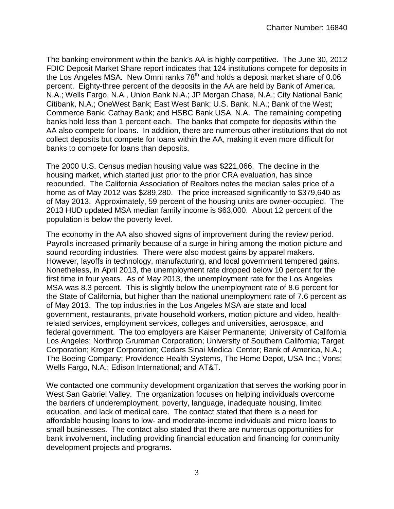The banking environment within the bank's AA is highly competitive. The June 30, 2012 FDIC Deposit Market Share report indicates that 124 institutions compete for deposits in the Los Angeles MSA. New Omni ranks  $78<sup>th</sup>$  and holds a deposit market share of 0.06 percent. Eighty-three percent of the deposits in the AA are held by Bank of America, N.A.; Wells Fargo, N.A., Union Bank N.A.; JP Morgan Chase, N.A.; City National Bank; Citibank, N.A.; OneWest Bank; East West Bank; U.S. Bank, N.A.; Bank of the West; Commerce Bank; Cathay Bank; and HSBC Bank USA, N.A. The remaining competing banks hold less than 1 percent each. The banks that compete for deposits within the AA also compete for loans. In addition, there are numerous other institutions that do not collect deposits but compete for loans within the AA, making it even more difficult for banks to compete for loans than deposits.

The 2000 U.S. Census median housing value was \$221,066. The decline in the housing market, which started just prior to the prior CRA evaluation, has since rebounded. The California Association of Realtors notes the median sales price of a home as of May 2012 was \$289,280. The price increased significantly to \$379,640 as of May 2013. Approximately, 59 percent of the housing units are owner-occupied. The 2013 HUD updated MSA median family income is \$63,000. About 12 percent of the population is below the poverty level.

The economy in the AA also showed signs of improvement during the review period. Payrolls increased primarily because of a surge in hiring among the motion picture and sound recording industries. There were also modest gains by apparel makers. However, layoffs in technology, manufacturing, and local government tempered gains. Nonetheless, in April 2013, the unemployment rate dropped below 10 percent for the first time in four years. As of May 2013, the unemployment rate for the Los Angeles MSA was 8.3 percent. This is slightly below the unemployment rate of 8.6 percent for the State of California, but higher than the national unemployment rate of 7.6 percent as of May 2013. The top industries in the Los Angeles MSA are state and local government, restaurants, private household workers, motion picture and video, healthrelated services, employment services, colleges and universities, aerospace, and federal government. The top employers are Kaiser Permanente; University of California Los Angeles; Northrop Grumman Corporation; University of Southern California; Target Corporation; Kroger Corporation; Cedars Sinai Medical Center; Bank of America, N.A.; The Boeing Company; Providence Health Systems, The Home Depot, USA Inc.; Vons; Wells Fargo, N.A.; Edison International; and AT&T.

We contacted one community development organization that serves the working poor in West San Gabriel Valley. The organization focuses on helping individuals overcome the barriers of underemployment, poverty, language, inadequate housing, limited education, and lack of medical care. The contact stated that there is a need for affordable housing loans to low- and moderate-income individuals and micro loans to small businesses. The contact also stated that there are numerous opportunities for bank involvement, including providing financial education and financing for community development projects and programs.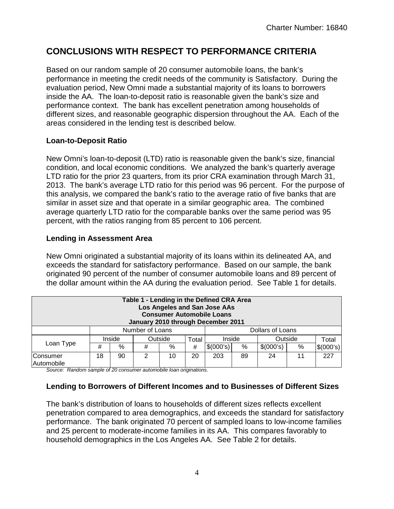## **CONCLUSIONS WITH RESPECT TO PERFORMANCE CRITERIA**

Based on our random sample of 20 consumer automobile loans, the bank's performance in meeting the credit needs of the community is Satisfactory. During the evaluation period, New Omni made a substantial majority of its loans to borrowers inside the AA. The loan-to-deposit ratio is reasonable given the bank's size and performance context. The bank has excellent penetration among households of different sizes, and reasonable geographic dispersion throughout the AA. Each of the areas considered in the lending test is described below.

#### **Loan-to-Deposit Ratio**

New Omni's loan-to-deposit (LTD) ratio is reasonable given the bank's size, financial condition, and local economic conditions. We analyzed the bank's quarterly average LTD ratio for the prior 23 quarters, from its prior CRA examination through March 31, 2013. The bank's average LTD ratio for this period was 96 percent. For the purpose of this analysis, we compared the bank's ratio to the average ratio of five banks that are similar in asset size and that operate in a similar geographic area. The combined average quarterly LTD ratio for the comparable banks over the same period was 95 percent, with the ratios ranging from 85 percent to 106 percent.

### **Lending in Assessment Area**

New Omni originated a substantial majority of its loans within its delineated AA, and exceeds the standard for satisfactory performance. Based on our sample, the bank originated 90 percent of the number of consumer automobile loans and 89 percent of the dollar amount within the AA during the evaluation period. See Table 1 for details.

| Table 1 - Lending in the Defined CRA Area<br>Los Angeles and San Jose AAs<br><b>Consumer Automobile Loans</b><br>January 2010 through December 2011 |    |        |                 |         |       |                  |      |           |   |           |
|-----------------------------------------------------------------------------------------------------------------------------------------------------|----|--------|-----------------|---------|-------|------------------|------|-----------|---|-----------|
|                                                                                                                                                     |    |        | Number of Loans |         |       | Dollars of Loans |      |           |   |           |
| Loan Type                                                                                                                                           |    | Inside |                 | Outside | Total | Inside           |      | Outside   |   | Total     |
|                                                                                                                                                     | #  | %      | #               | %       | #     | \$(000's)        | $\%$ | \$(000's) | % | \$(000's) |
| Consumer<br>Automobile                                                                                                                              | 18 | 90     | 2               | 10      | 20    | 203              | 89   | 24        |   | 227       |

*Source: Random sample of 20 consumer automobile loan originations.*

### **Lending to Borrowers of Different Incomes and to Businesses of Different Sizes**

The bank's distribution of loans to households of different sizes reflects excellent penetration compared to area demographics, and exceeds the standard for satisfactory performance. The bank originated 70 percent of sampled loans to low-income families and 25 percent to moderate-income families in its AA. This compares favorably to household demographics in the Los Angeles AA. See Table 2 for details.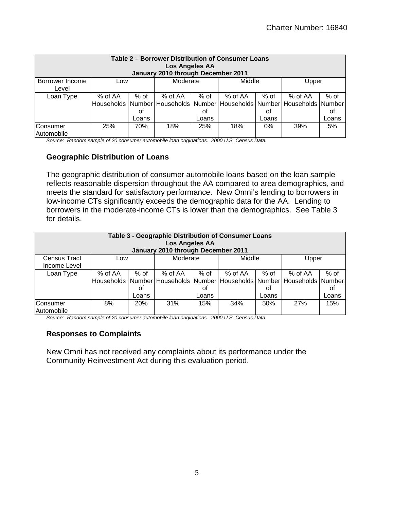| Table 2 – Borrower Distribution of Consumer Loans<br><b>Los Angeles AA</b><br>January 2010 through December 2011 |         |       |           |       |                                                                         |        |         |        |  |  |
|------------------------------------------------------------------------------------------------------------------|---------|-------|-----------|-------|-------------------------------------------------------------------------|--------|---------|--------|--|--|
| Borrower Income                                                                                                  | Low     |       | Moderate  |       | Middle                                                                  |        | Upper   |        |  |  |
| Level                                                                                                            |         |       |           |       |                                                                         |        |         |        |  |  |
| Loan Type                                                                                                        | % of AA | % of  | $%$ of AA | % of  | % of AA                                                                 | $%$ of | % of AA | $%$ of |  |  |
|                                                                                                                  |         |       |           |       | Households Number Households Number Households Number Households Number |        |         |        |  |  |
|                                                                                                                  |         | οf    |           | Οt    |                                                                         | οt     |         | οt     |  |  |
|                                                                                                                  |         | Loans |           | Loans |                                                                         | Loans  |         | Loans  |  |  |
| <b>Consumer</b><br>Automobile                                                                                    | 25%     | 70%   | 18%       | 25%   | 18%                                                                     | $0\%$  | 39%     | 5%     |  |  |

*Source: Random sample of 20 consumer automobile loan originations. 2000 U.S. Census Data.* 

#### **Geographic Distribution of Loans**

The geographic distribution of consumer automobile loans based on the loan sample reflects reasonable dispersion throughout the AA compared to area demographics, and meets the standard for satisfactory performance. New Omni's lending to borrowers in low-income CTs significantly exceeds the demographic data for the AA. Lending to borrowers in the moderate-income CTs is lower than the demographics. See Table 3 for details.

| Table 3 - Geographic Distribution of Consumer Loans<br><b>Los Angeles AA</b><br>January 2010 through December 2011 |           |       |          |       |                                                                         |        |         |        |  |  |
|--------------------------------------------------------------------------------------------------------------------|-----------|-------|----------|-------|-------------------------------------------------------------------------|--------|---------|--------|--|--|
| Census Tract                                                                                                       | Low       |       | Moderate |       | Middle                                                                  |        | Upper   |        |  |  |
| Income Level                                                                                                       |           |       |          |       |                                                                         |        |         |        |  |  |
| Loan Type                                                                                                          | $%$ of AA | % of  | % of AA  | % of  | $%$ of AA                                                               | $%$ of | % of AA | $%$ of |  |  |
|                                                                                                                    |           |       |          |       | Households Number Households Number Households Number Households Number |        |         |        |  |  |
|                                                                                                                    |           | οf    |          | οt    |                                                                         | οt     |         | 0f     |  |  |
|                                                                                                                    |           | Loans |          | Loans |                                                                         | Loans  |         | Loans  |  |  |
| Consumer<br>Automobile                                                                                             | 8%        | 20%   | 31%      | 15%   | 34%                                                                     | 50%    | 27%     | 15%    |  |  |

*Source: Random sample of 20 consumer automobile loan originations. 2000 U.S. Census Data.* 

#### **Responses to Complaints**

New Omni has not received any complaints about its performance under the Community Reinvestment Act during this evaluation period.